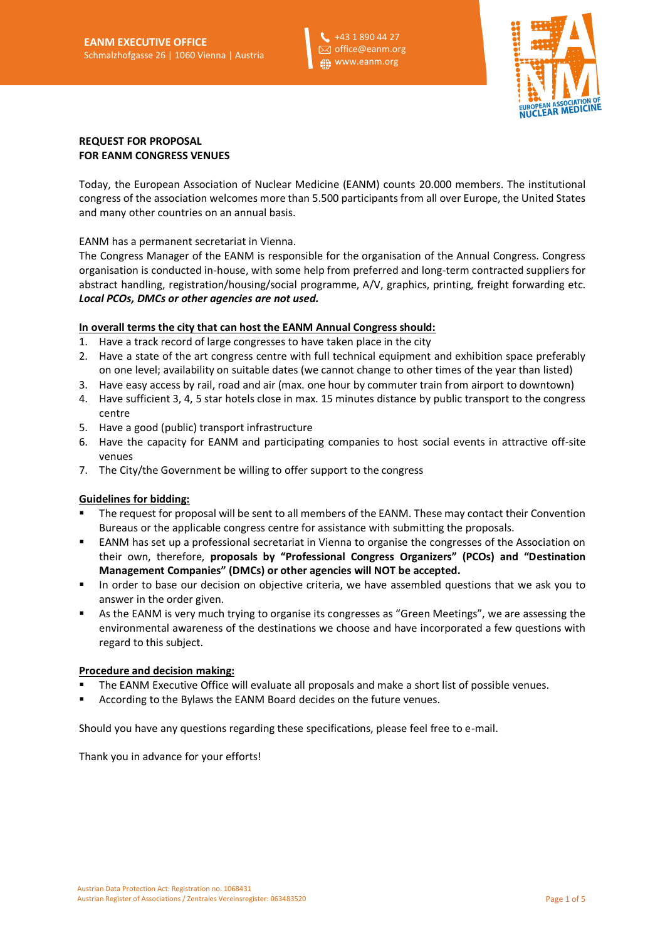+43 1 890 44 27 office@eanm.org www.eanm.org



# **REQUEST FOR PROPOSAL FOR EANM CONGRESS VENUES**

Today, the European Association of Nuclear Medicine (EANM) counts 20.000 members. The institutional congress of the association welcomes more than 5.500 participants from all over Europe, the United States and many other countries on an annual basis.

EANM has a permanent secretariat in Vienna.

The Congress Manager of the EANM is responsible for the organisation of the Annual Congress. Congress organisation is conducted in-house, with some help from preferred and long-term contracted suppliers for abstract handling, registration/housing/social programme, A/V, graphics, printing, freight forwarding etc. *Local PCOs, DMCs or other agencies are not used.*

# **In overall terms the city that can host the EANM Annual Congress should:**

- 1. Have a track record of large congresses to have taken place in the city
- 2. Have a state of the art congress centre with full technical equipment and exhibition space preferably on one level; availability on suitable dates (we cannot change to other times of the year than listed)
- 3. Have easy access by rail, road and air (max. one hour by commuter train from airport to downtown)
- 4. Have sufficient 3, 4, 5 star hotels close in max. 15 minutes distance by public transport to the congress centre
- 5. Have a good (public) transport infrastructure
- 6. Have the capacity for EANM and participating companies to host social events in attractive off-site venues
- 7. The City/the Government be willing to offer support to the congress

# **Guidelines for bidding:**

- The request for proposal will be sent to all members of the EANM. These may contact their Convention Bureaus or the applicable congress centre for assistance with submitting the proposals.
- EANM has set up a professional secretariat in Vienna to organise the congresses of the Association on their own, therefore, **proposals by "Professional Congress Organizers" (PCOs) and "Destination Management Companies" (DMCs) or other agencies will NOT be accepted.**
- In order to base our decision on objective criteria, we have assembled questions that we ask you to answer in the order given.
- As the EANM is very much trying to organise its congresses as "Green Meetings", we are assessing the environmental awareness of the destinations we choose and have incorporated a few questions with regard to this subject.

# **Procedure and decision making:**

- The EANM Executive Office will evaluate all proposals and make a short list of possible venues.
- According to the Bylaws the EANM Board decides on the future venues.

Should you have any questions regarding these specifications, please feel free to e-mail.

Thank you in advance for your efforts!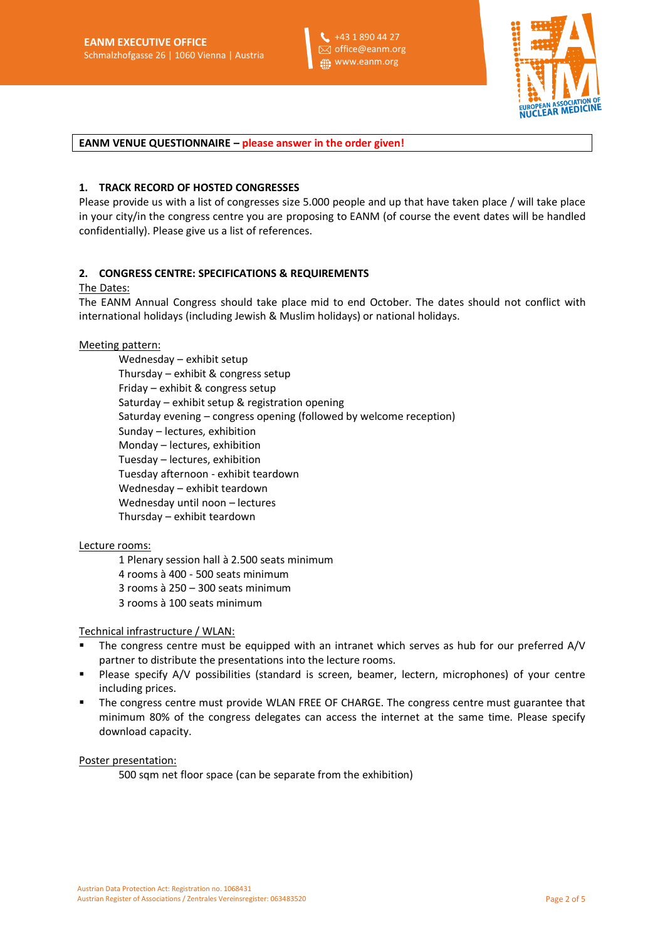+43 1 890 44 27 office@eanm.org **fi** www.eanm.org



**EANM VENUE QUESTIONNAIRE – please answer in the order given!**

#### **1. TRACK RECORD OF HOSTED CONGRESSES**

Please provide us with a list of congresses size 5.000 people and up that have taken place / will take place in your city/in the congress centre you are proposing to EANM (of course the event dates will be handled confidentially). Please give us a list of references.

# **2. CONGRESS CENTRE: SPECIFICATIONS & REQUIREMENTS**

#### The Dates:

The EANM Annual Congress should take place mid to end October. The dates should not conflict with international holidays (including Jewish & Muslim holidays) or national holidays.

#### Meeting pattern:

Wednesday – exhibit setup Thursday – exhibit & congress setup Friday – exhibit & congress setup Saturday – exhibit setup & registration opening Saturday evening – congress opening (followed by welcome reception) Sunday – lectures, exhibition Monday – lectures, exhibition Tuesday – lectures, exhibition Tuesday afternoon - exhibit teardown Wednesday – exhibit teardown Wednesday until noon – lectures Thursday – exhibit teardown

#### Lecture rooms:

1 Plenary session hall à 2.500 seats minimum 4 rooms à 400 - 500 seats minimum 3 rooms à 250 – 300 seats minimum 3 rooms à 100 seats minimum

# Technical infrastructure / WLAN:

- The congress centre must be equipped with an intranet which serves as hub for our preferred A/V partner to distribute the presentations into the lecture rooms.
- Please specify A/V possibilities (standard is screen, beamer, lectern, microphones) of your centre including prices.
- The congress centre must provide WLAN FREE OF CHARGE. The congress centre must guarantee that minimum 80% of the congress delegates can access the internet at the same time. Please specify download capacity.

#### Poster presentation:

500 sqm net floor space (can be separate from the exhibition)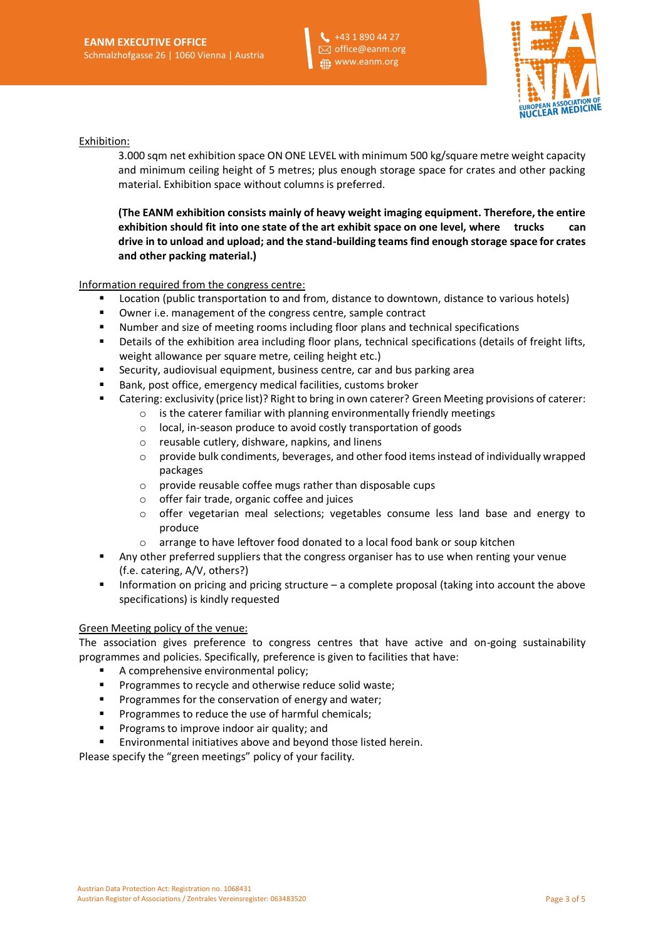

Exhibition:

3.000 sqm net exhibition space ON ONE LEVEL with minimum 500 kg/square metre weight capacity and minimum ceiling height of 5 metres; plus enough storage space for crates and other packing material. Exhibition space without columns is preferred.

**(The EANM exhibition consists mainly of heavy weight imaging equipment. Therefore, the entire exhibition should fit into one state of the art exhibit space on one level, where trucks can drive in to unload and upload; and the stand-building teams find enough storage space for crates and other packing material.)** 

Information required from the congress centre:

- Location (public transportation to and from, distance to downtown, distance to various hotels)
- Owner i.e. management of the congress centre, sample contract
- Number and size of meeting rooms including floor plans and technical specifications
- **•** Details of the exhibition area including floor plans, technical specifications (details of freight lifts, weight allowance per square metre, ceiling height etc.)
- Security, audiovisual equipment, business centre, car and bus parking area
- Bank, post office, emergency medical facilities, customs broker
- Catering: exclusivity (price list)? Right to bring in own caterer? Green Meeting provisions of caterer:
	- $\circ$  is the caterer familiar with planning environmentally friendly meetings
	- o local, in-season produce to avoid costly transportation of goods
	- o reusable cutlery, dishware, napkins, and linens
	- o provide bulk condiments, beverages, and other food items instead of individually wrapped packages
	- o provide reusable coffee mugs rather than disposable cups
	- o offer fair trade, organic coffee and juices
	- $\circ$  offer vegetarian meal selections; vegetables consume less land base and energy to produce
	- o arrange to have leftover food donated to a local food bank or soup kitchen
- Any other preferred suppliers that the congress organiser has to use when renting your venue (f.e. catering, A/V, others?)
- Information on pricing and pricing structure a complete proposal (taking into account the above specifications) is kindly requested

#### Green Meeting policy of the venue:

The association gives preference to congress centres that have active and on-going sustainability programmes and policies. Specifically, preference is given to facilities that have:

- A comprehensive environmental policy;
- Programmes to recycle and otherwise reduce solid waste;
- Programmes for the conservation of energy and water;
- Programmes to reduce the use of harmful chemicals;
- Programs to improve indoor air quality; and
- Environmental initiatives above and beyond those listed herein.

Please specify the "green meetings" policy of your facility.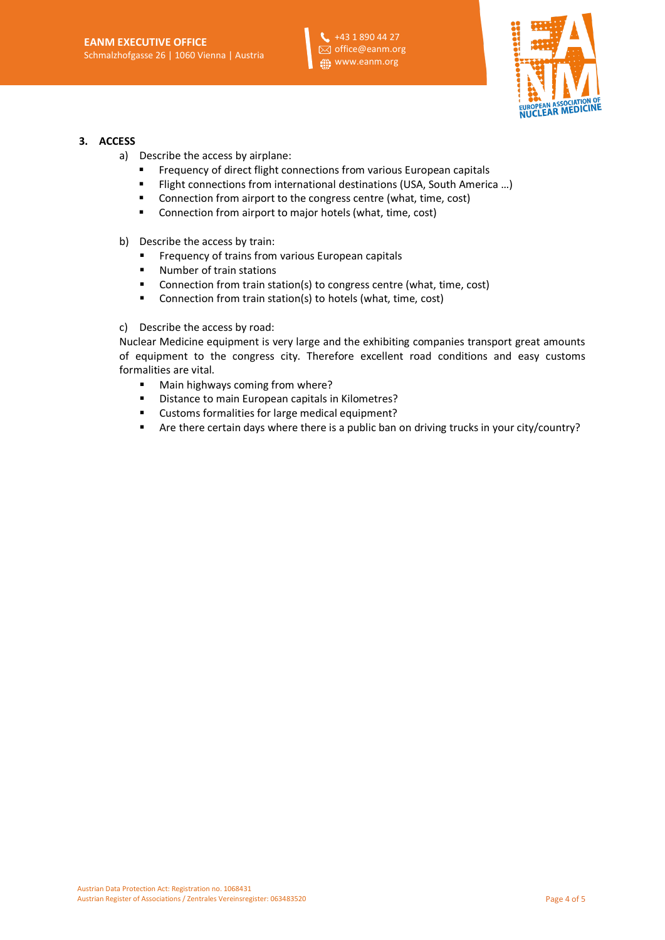

#### **3. ACCESS**

- a) Describe the access by airplane:
	- Frequency of direct flight connections from various European capitals
	- Flight connections from international destinations (USA, South America ...)
	- Connection from airport to the congress centre (what, time, cost)
	- Connection from airport to major hotels (what, time, cost)
- b) Describe the access by train:
	- Frequency of trains from various European capitals
	- Number of train stations
	- Connection from train station(s) to congress centre (what, time, cost)
	- Connection from train station(s) to hotels (what, time, cost)
- c) Describe the access by road:

Nuclear Medicine equipment is very large and the exhibiting companies transport great amounts of equipment to the congress city. Therefore excellent road conditions and easy customs formalities are vital.

- Main highways coming from where?
- Distance to main European capitals in Kilometres?
- Customs formalities for large medical equipment?
- Are there certain days where there is a public ban on driving trucks in your city/country?